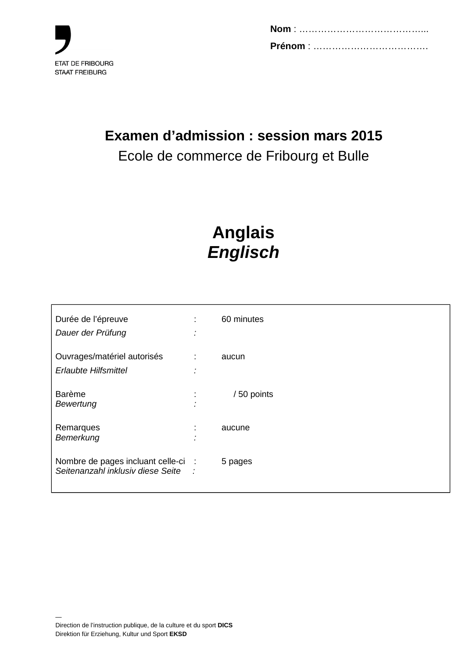

# **Examen d'admission : session mars 2015**

## Ecole de commerce de Fribourg et Bulle

# **Anglais Englisch**

| Durée de l'épreuve<br>Dauer der Prüfung                                    | $\bullet$ | 60 minutes |
|----------------------------------------------------------------------------|-----------|------------|
| Ouvrages/matériel autorisés<br><b>Erlaubte Hilfsmittel</b>                 | ÷         | aucun      |
| <b>Barème</b><br>Bewertung                                                 |           | /50 points |
| Remarques<br>Bemerkung                                                     | ä.        | aucune     |
| Nombre de pages incluant celle-ci :<br>Seitenanzahl inklusiv diese Seite : |           | 5 pages    |

—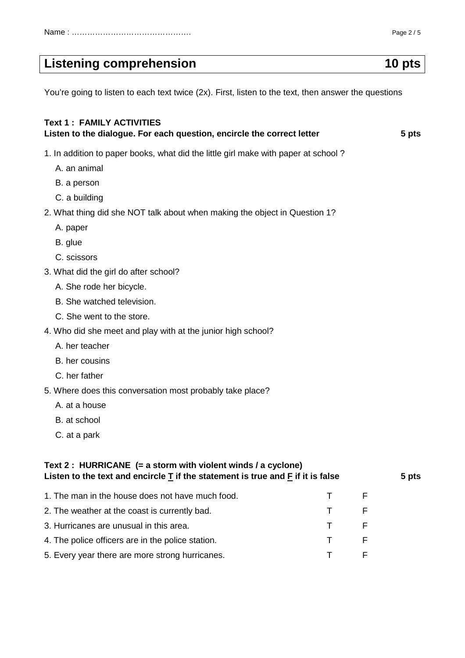## Listening comprehension **10** pts

You're going to listen to each text twice (2x). First, listen to the text, then answer the questions

## **Text 1 : FAMILY ACTIVITIES**  Listen to the dialogue. For each question, encircle the correct letter **1988 1988 1988** 1. In addition to paper books, what did the little girl make with paper at school ? A. an animal B. a person C. a building 2. What thing did she NOT talk about when making the object in Question 1? A. paper B. glue C. scissors 3. What did the girl do after school? A. She rode her bicycle. B. She watched television. C. She went to the store. 4. Who did she meet and play with at the junior high school? A. her teacher B. her cousins C. her father 5. Where does this conversation most probably take place? A. at a house B. at school C. at a park **Text 2 : HURRICANE (= a storm with violent winds / a cyclone)**  Listen to the text and encircle T if the statement is true and F if it is false 5 pts 1. The man in the house does not have much food. T F F 2. The weather at the coast is currently bad. T 3. Hurricanes are unusual in this area. T T F

- 4. The police officers are in the police station. T F F
- 5. Every year there are more strong hurricanes. T T F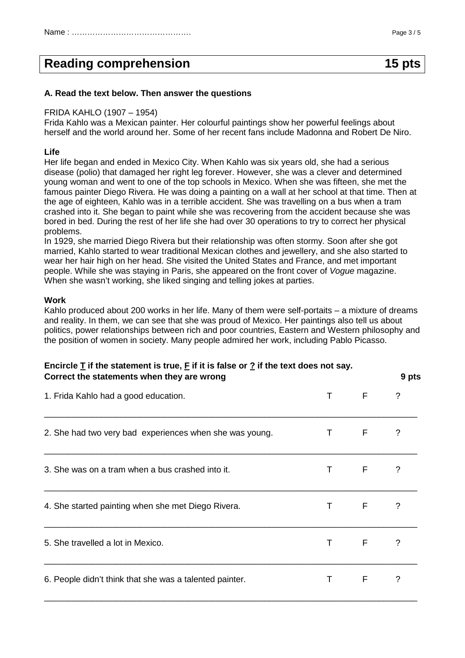## **Reading comprehension** 15 pts

#### **A. Read the text below. Then answer the questions**

### FRIDA KAHLO (1907 – 1954)

Frida Kahlo was a Mexican painter. Her colourful paintings show her powerful feelings about herself and the world around her. Some of her recent fans include Madonna and Robert De Niro.

#### **Life**

Her life began and ended in Mexico City. When Kahlo was six years old, she had a serious disease (polio) that damaged her right leg forever. However, she was a clever and determined young woman and went to one of the top schools in Mexico. When she was fifteen, she met the famous painter Diego Rivera. He was doing a painting on a wall at her school at that time. Then at the age of eighteen, Kahlo was in a terrible accident. She was travelling on a bus when a tram crashed into it. She began to paint while she was recovering from the accident because she was bored in bed. During the rest of her life she had over 30 operations to try to correct her physical problems.

In 1929, she married Diego Rivera but their relationship was often stormy. Soon after she got married, Kahlo started to wear traditional Mexican clothes and jewellery, and she also started to wear her hair high on her head. She visited the United States and France, and met important people. While she was staying in Paris, she appeared on the front cover of Vogue magazine. When she wasn't working, she liked singing and telling jokes at parties.

#### **Work**

Kahlo produced about 200 works in her life. Many of them were self-portaits – a mixture of dreams and reality. In them, we can see that she was proud of Mexico. Her paintings also tell us about politics, power relationships between rich and poor countries, Eastern and Western philosophy and the position of women in society. Many people admired her work, including Pablo Picasso.

## **Encircle T if the statement is true, F if it is false or ? if the text does not say. Correct the statements when they are wrong 3 pts 3 pts 3 pts 3 pts 3 pts 3 pts 3 pts 3 pts 3 pts 3 pts 3 pts 3 pts 3 pts 3 pts 3 pts 3 pts 3 pts 3 pts 3 pts 3 pts 3 pts 3 pts 3 pts 3 pts 3 pts 3 pts 3 pts 3 pts 3 pts 3 pt**

| 1. Frida Kahlo had a good education.                    | T  | F     | $\gamma$ |
|---------------------------------------------------------|----|-------|----------|
| 2. She had two very bad experiences when she was young. | T  | F     | $\gamma$ |
| 3. She was on a tram when a bus crashed into it.        |    | T F   | $\gamma$ |
| 4. She started painting when she met Diego Rivera.      | T  | $F -$ | $\gamma$ |
| 5. She travelled a lot in Mexico.                       |    | T F   | ?        |
| 6. People didn't think that she was a talented painter. | T. | F     | $\gamma$ |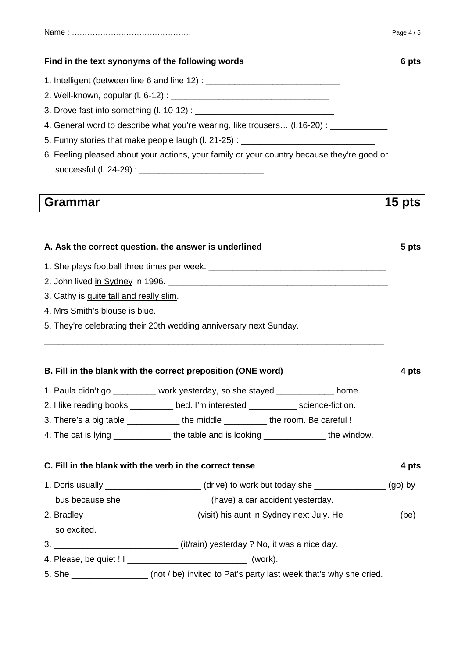## **Find in the text synonyms of the following words 6 pts in the synonyms of the following words**

- 1. Intelligent (between line 6 and line 12) :
- 2. Well-known, popular (l. 6-12) : \_\_\_\_\_\_\_\_\_\_\_\_\_\_\_\_\_\_\_\_\_\_\_\_\_\_\_\_\_\_\_\_\_
- 3. Drove fast into something (l. 10-12) : \_\_\_\_\_\_\_\_\_\_\_\_\_\_\_\_\_\_\_\_\_\_\_\_\_\_\_\_\_
- 4. General word to describe what you're wearing, like trousers... (1.16-20) :
- 5. Funny stories that make people laugh (l. 21-25) :
- 6. Feeling pleased about your actions, your family or your country because they're good or  $successful$  (l. 24-29) :

## **Grammar 15 pts**

## A. Ask the correct question, the answer is underlined **A.** Ask the correct question, the answer is underlined

- 1. She plays football three times per week. \_\_\_\_\_\_\_\_\_\_\_\_\_\_\_\_\_\_\_\_\_\_\_\_\_\_\_\_\_\_\_\_\_\_\_\_\_
- 2. John lived in Sydney in 1996.
- 3. Cathy is quite tall and really slim. \_\_\_\_\_\_\_\_\_\_\_\_\_\_\_\_\_\_\_\_\_\_\_\_\_\_\_\_\_\_\_\_\_\_\_\_\_\_\_\_\_\_\_
- 4. Mrs Smith's blouse is blue.
- 5. They're celebrating their 20th wedding anniversary next Sunday.

## **B. Fill in the blank with the correct preposition (ONE word) 4 pts**

1. Paula didn't go \_\_\_\_\_\_\_\_\_ work yesterday, so she stayed \_\_\_\_\_\_\_\_\_\_\_\_ home.

\_\_\_\_\_\_\_\_\_\_\_\_\_\_\_\_\_\_\_\_\_\_\_\_\_\_\_\_\_\_\_\_\_\_\_\_\_\_\_\_\_\_\_\_\_\_\_\_\_\_\_\_\_\_\_\_\_\_\_\_\_\_\_\_\_\_\_\_\_\_\_

- 2. I like reading books \_\_\_\_\_\_\_\_\_ bed. I'm interested \_\_\_\_\_\_\_\_\_\_ science-fiction.
- 3. There's a big table \_\_\_\_\_\_\_\_\_\_\_\_\_ the middle \_\_\_\_\_\_\_\_\_\_ the room. Be careful !
- 4. The cat is lying \_\_\_\_\_\_\_\_\_\_\_\_\_\_ the table and is looking \_\_\_\_\_\_\_\_\_\_\_\_\_\_\_ the window.

## **C. Fill in the blank with the verb in the correct tense 4 pts 4 pts**

- 1. Doris usually \_\_\_\_\_\_\_\_\_\_\_\_\_\_\_\_\_\_\_\_ (drive) to work but today she \_\_\_\_\_\_\_\_\_\_\_\_\_\_\_ (go) by
- bus because she **bus** (have) a car accident yesterday.
- 2. Bradley \_\_\_\_\_\_\_\_\_\_\_\_\_\_\_\_\_\_\_\_\_\_\_\_\_\_\_\_\_\_(visit) his aunt in Sydney next July. He \_\_\_\_\_\_\_\_\_\_\_\_(be)
- so excited.
- 3. \_\_\_\_\_\_\_\_\_\_\_\_\_\_\_\_\_\_\_\_\_\_\_\_\_\_ (it/rain) yesterday ? No, it was a nice day.
- 4. Please, be quiet ! I \_\_\_\_\_\_\_\_\_\_\_\_\_\_\_\_\_\_\_\_\_\_\_\_\_ (work).
- 5. She **She** (not / be) invited to Pat's party last week that's why she cried.